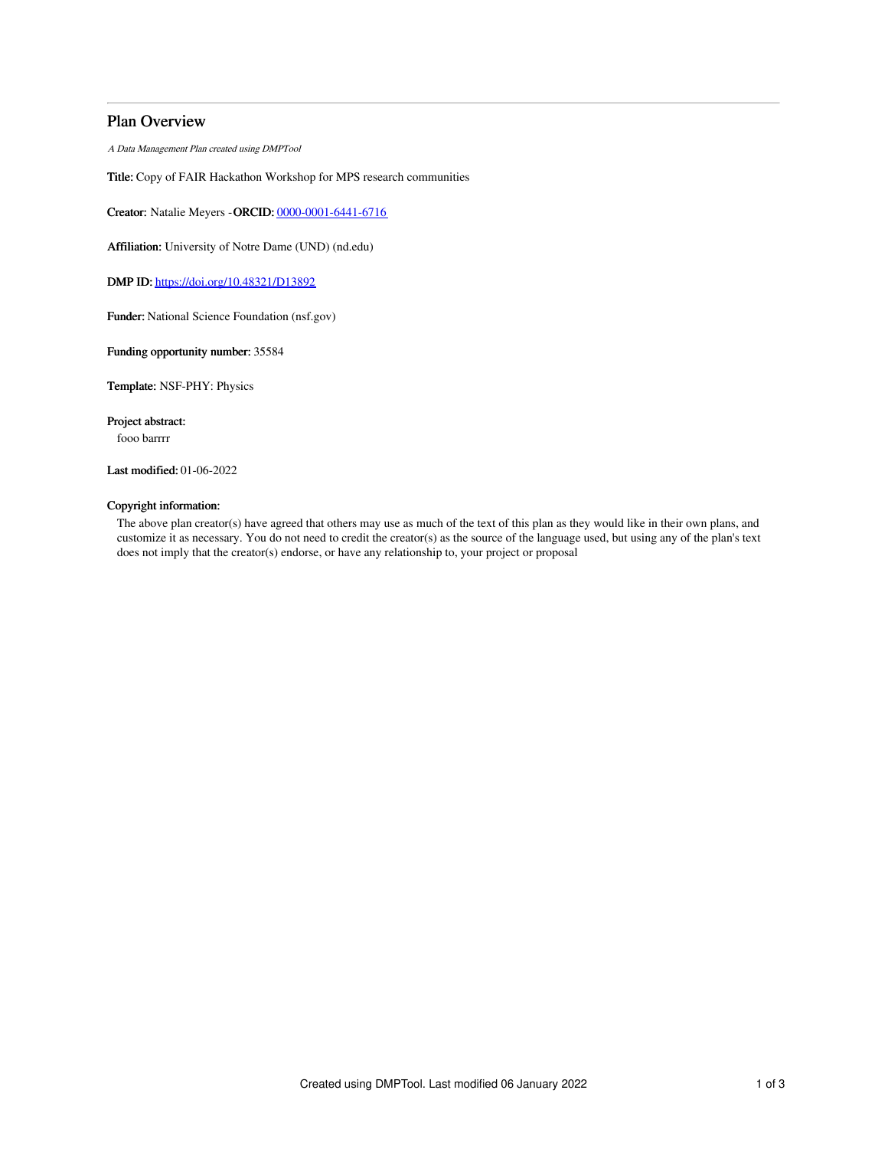# Plan Overview

A Data Management Plan created using DMPTool

Title: Copy of FAIR Hackathon Workshop for MPS research communities

Creator: Natalie Meyers -ORCID: [0000-0001-6441-6716](https://orcid.org/0000-0001-6441-6716)

Affiliation: University of Notre Dame (UND) (nd.edu)

DMP ID: <https://doi.org/10.48321/D13892>

Funder: National Science Foundation (nsf.gov)

Funding opportunity number: 35584

Template: NSF-PHY: Physics

Project abstract: fooo barrrr

Last modified: 01-06-2022

## Copyright information:

The above plan creator(s) have agreed that others may use as much of the text of this plan as they would like in their own plans, and customize it as necessary. You do not need to credit the creator(s) as the source of the language used, but using any of the plan's text does not imply that the creator(s) endorse, or have any relationship to, your project or proposal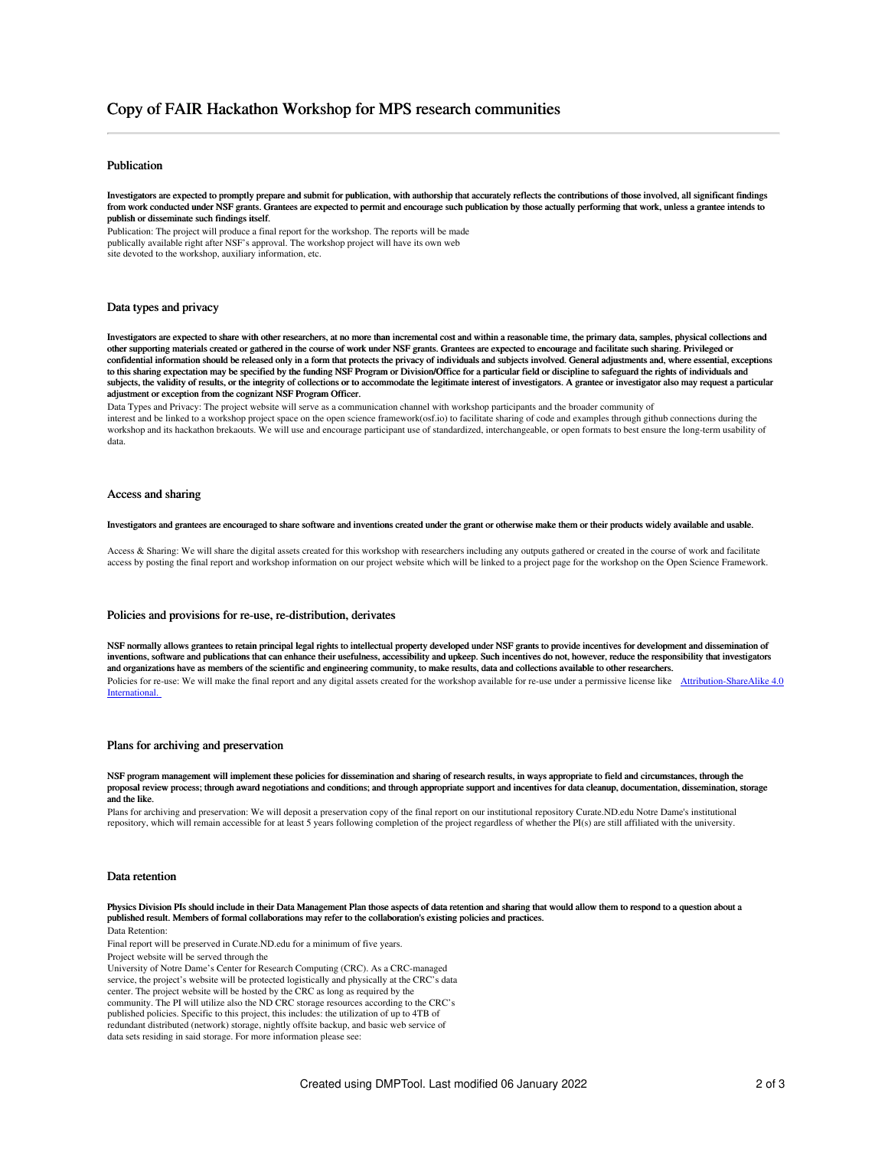# Copy of FAIR Hackathon Workshop for MPS research communities

## Publication

Investigators are expected to promptly prepare and submit for publication, with authorship that accurately reflects the contributions of those involved, all significant findings from work conducted under NSF grants. Grantees are expected to permit and encourage such publication by those actually performing that work, unless a grantee intends to publish or disseminate such findings itself.

Publication: The project will produce a final report for the workshop. The reports will be made publically available right after NSF's approval. The workshop project will have its own web site devoted to the workshop, auxiliary information, etc.

## Data types and privacy

Investigators are expected to share with other researchers, at no more than incremental cost and within a reasonable time, the primary data, samples, physical collections and other supporting materials created or gathered in the course of work under NSF grants. Grantees are expected to encourage and facilitate such sharing. Privileged or confidential information should be released only in a form that protects the privacy of individuals and subjects involved. General adjustments and, where essential, exceptions to this sharing expectation may be specified by the funding NSF Program or Division/Office for a particular field or discipline to safeguard the rights of individuals and subjects, the validity of results, or the integrity of collections or to accommodate the legitimate interest of investigators. A grantee or investigator also may request a particular adjustment or exception from the cognizant NSF Program Officer.

Data Types and Privacy: The project website will serve as a communication channel with workshop participants and the broader community of interest and be linked to a workshop project space on the open science framework(osf.io) to facilitate sharing of code and examples through github connections during the workshop and its hackathon brekaouts. We will use and encourage participant use of standardized, interchangeable, or open formats to best ensure the long-term usability of data.

## Access and sharing

Investigators and grantees are encouraged to share software and inventions created under the grant or otherwise make them or their products widely available and usable.

Access & Sharing: We will share the digital assets created for this workshop with researchers including any outputs gathered or created in the course of work and facilitate access by posting the final report and workshop information on our project website which will be linked to a project page for the workshop on the Open Science Framework.

### Policies and provisions for re-use, re-distribution, derivates

NSF normally allows grantees to retain principal legal rights to intellectual property developed under NSF grants to provide incentives for development and dissemination of inventions, software and publications that can enhance their usefulness, accessibility and upkeep. Such incentives do not, however, reduce the responsibility that investigators and organizations have as members of the scientific and engineering community, to make results, data and collections available to other researchers. Policies for re-use: We will make the final report and any digital assets created for the workshop available for re-use under a permissive license like [Attribution-ShareAlike](http://creativecommons.org/licenses/by-sa/4.0/) 4.0 International.

### Plans for archiving and preservation

NSF program management will implement these policies for dissemination and sharing of research results, in ways appropriate to field and circumstances, through the proposal review process; through award negotiations and conditions; and through appropriate support and incentives for data cleanup, documentation, dissemination, storage and the like.

Plans for archiving and preservation: We will deposit a preservation copy of the final report on our institutional repository Curate.ND.edu Notre Dame's institutional repository, which will remain accessible for at least 5 years following completion of the project regardless of whether the PI(s) are still affiliated with the university.

### Data retention

Physics Division PIs should include in their Data Management Plan those aspects of data retention and sharing that would allow them to respond to a question about a published result. Members of formal collaborations may refer to the collaboration's existing policies and practices.

Data Retention:

Final report will be preserved in Curate.ND.edu for a minimum of five years.

Project website will be served through the

University of Notre Dame's Center for Research Computing (CRC). As a CRC-managed service, the project's website will be protected logistically and physically at the CRC's data center. The project website will be hosted by the CRC as long as required by the community. The PI will utilize also the ND CRC storage resources according to the CRC's published policies. Specific to this project, this includes: the utilization of up to 4TB of redundant distributed (network) storage, nightly offsite backup, and basic web service of data sets residing in said storage. For more information please see: